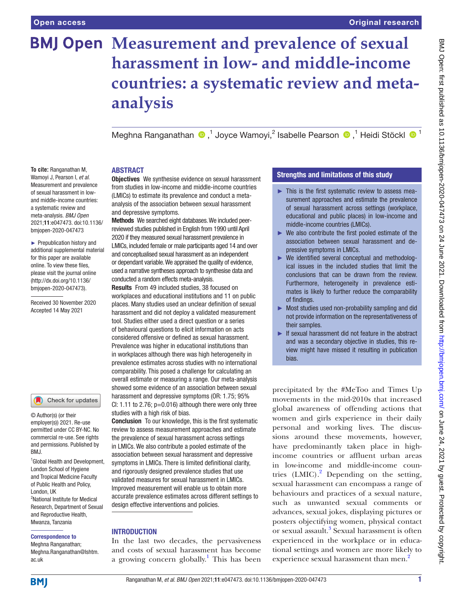# **BMJ Open Measurement and prevalence of sexual harassment in low- and middle-income countries: a systematic review and metaanalysis**

MeghnaRanganathan  $\bigcirc$ ,<sup>1</sup> Joyce Wamoyi,<sup>2</sup> Isabelle Pearson  $\bigcirc$ ,<sup>1</sup> Heidi Stöckl  $\bigcirc$ <sup>1</sup>

#### **ABSTRACT**

**To cite:** Ranganathan M, Wamoyi J, Pearson I, *et al*. Measurement and prevalence of sexual harassment in lowand middle-income countries: a systematic review and meta-analysis. *BMJ Open* 2021;11:e047473. doi:10.1136/ bmjopen-2020-047473

► Prepublication history and additional supplemental material for this paper are available online. To view these files, please visit the journal online (http://dx.doi.org/10.1136/ bmjopen-2020-047473).

Received 30 November 2020 Accepted 14 May 2021



© Author(s) (or their employer(s)) 2021. Re-use permitted under CC BY-NC. No commercial re-use. See rights and permissions. Published by RM<sub>J</sub>

<sup>1</sup> Global Health and Development, London School of Hygiene and Tropical Medicine Faculty of Public Health and Policy, London, UK 2 National Institute for Medical Research, Department of Sexual and Reproductive Health, Mwanza, Tanzania

#### Correspondence to

Meghna Ranganathan; Meghna.Ranganathan@lshtm. ac.uk

**Objectives** We synthesise evidence on sexual harassment from studies in low-income and middle-income countries (LMICs) to estimate its prevalence and conduct a metaanalysis of the association between sexual harassment and depressive symptoms.

Methods We searched eight databases. We included peerreviewed studies published in English from 1990 until April 2020 if they measured sexual harassment prevalence in LMICs, included female or male participants aged 14 and over and conceptualised sexual harassment as an independent or dependant variable. We appraised the quality of evidence, used a narrative syntheses approach to synthesise data and conducted a random effects meta-analysis.

Results From 49 included studies, 38 focused on workplaces and educational institutions and 11 on public places. Many studies used an unclear definition of sexual harassment and did not deploy a validated measurement tool. Studies either used a direct question or a series of behavioural questions to elicit information on acts considered offensive or defined as sexual harassment. Prevalence was higher in educational institutions than in workplaces although there was high heterogeneity in prevalence estimates across studies with no international comparability. This posed a challenge for calculating an overall estimate or measuring a range. Our meta-analysis showed some evidence of an association between sexual harassment and depressive symptoms (OR: 1.75; 95% CI: 1.11 to 2.76;  $p=0.016$ ) although there were only three studies with a high risk of bias.

Conclusion To our knowledge, this is the first systematic review to assess measurement approaches and estimate the prevalence of sexual harassment across settings in LMICs. We also contribute a pooled estimate of the association between sexual harassment and depressive symptoms in LMICs. There is limited definitional clarity, and rigorously designed prevalence studies that use validated measures for sexual harassment in LMICs. Improved measurement will enable us to obtain more accurate prevalence estimates across different settings to design effective interventions and policies.

#### **INTRODUCTION**

In the last two decades, the pervasiveness and costs of sexual harassment has become a growing concern globally.<sup>[1](#page-12-0)</sup> This has been

#### Strengths and limitations of this study

- ► This is the first systematic review to assess measurement approaches and estimate the prevalence of sexual harassment across settings (workplace, educational and public places) in low-income and middle-income countries (LMICs).
- ► We also contribute the first pooled estimate of the association between sexual harassment and depressive symptoms in LMICs.
- ► We identified several conceptual and methodological issues in the included studies that limit the conclusions that can be drawn from the review. Furthermore, heterogeneity in prevalence estimates is likely to further reduce the comparability of findings.
- ► Most studies used non-probability sampling and did not provide information on the representativeness of their samples.
- ► If sexual harassment did not feature in the abstract and was a secondary objective in studies, this review might have missed it resulting in publication bias.

precipitated by the #MeToo and Times Up movements in the mid-2010s that increased global awareness of offending actions that women and girls experience in their daily personal and working lives. The discussions around these movements, however, have predominantly taken place in highincome countries or affluent urban areas in low-income and middle-income countries  $(LMIC).$ <sup>[2](#page-12-1)</sup> Depending on the setting, sexual harassment can encompass a range of behaviours and practices of a sexual nature, such as unwanted sexual comments or advances, sexual jokes, displaying pictures or posters objectifying women, physical contact or sexual assault.<sup>[3](#page-12-2)</sup> Sexual harassment is often experienced in the workplace or in educational settings and women are more likely to experience sexual harassment than men.<sup>2</sup>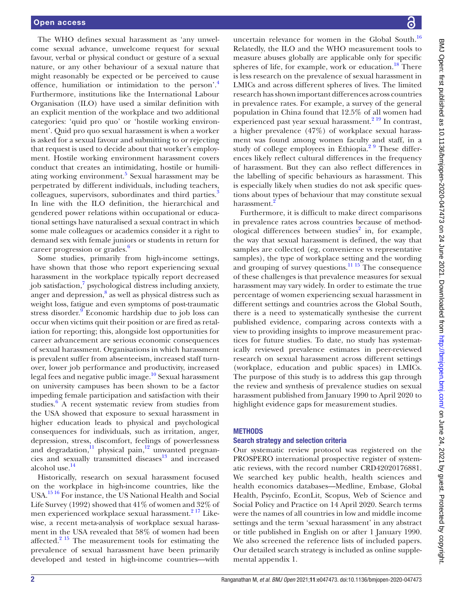The WHO defines sexual harassment as 'any unwelcome sexual advance, unwelcome request for sexual favour, verbal or physical conduct or gesture of a sexual nature, or any other behaviour of a sexual nature that might reasonably be expected or be perceived to cause offence, humiliation or intimidation to the person'.[4](#page-12-3) Furthermore, institutions like the International Labour Organisation (ILO) have used a similar definition with an explicit mention of the workplace and two additional categories: 'quid pro quo' or 'hostile working environment'. Quid pro quo sexual harassment is when a worker is asked for a sexual favour and submitting to or rejecting that request is used to decide about that worker's employment. Hostile working environment harassment covers conduct that creates an intimidating, hostile or humili-ating working environment.<sup>[5](#page-12-4)</sup> Sexual harassment may be perpetrated by different individuals, including teachers, colleagues, supervisors, subordinates and third parties.<sup>[3](#page-12-2)</sup> In line with the ILO definition, the hierarchical and gendered power relations within occupational or educational settings have naturalised a sexual contract in which some male colleagues or academics consider it a right to demand sex with female juniors or students in return for career progression or grades.<sup>[6](#page-12-5)</sup>

Some studies, primarily from high-income settings, have shown that those who report experiencing sexual harassment in the workplace typically report decreased job satisfaction,<sup>7</sup> psychological distress including anxiety, anger and depression, $^8$  as well as physical distress such as weight loss, fatigue and even symptoms of post-traumatic stress disorder.<sup>[9](#page-12-8)</sup> Economic hardship due to job loss can occur when victims quit their position or are fired as retaliation for reporting; this, alongside lost opportunities for career advancement are serious economic consequences of sexual harassment. Organisations in which harassment is prevalent suffer from absenteeism, increased staff turnover, lower job performance and productivity, increased legal fees and negative public image.<sup>[10](#page-12-9)</sup> Sexual harassment on university campuses has been shown to be a factor impeding female participation and satisfaction with their studies.<sup>[6](#page-12-5)</sup> A recent systematic review from studies from the USA showed that exposure to sexual harassment in higher education leads to physical and psychological consequences for individuals, such as irritation, anger, depression, stress, discomfort, feelings of powerlessness and degradation, $\frac{11}{11}$  $\frac{11}{11}$  $\frac{11}{11}$  physical pain, $\frac{12}{12}$  unwanted pregnancies and sexually transmitted diseases<sup>13</sup> and increased alcohol use.[14](#page-12-13)

Historically, research on sexual harassment focused on the workplace in high-income countries, like the USA.[15 16](#page-12-14) For instance, the US National Health and Social Life Survey (1992) showed that 41% of women and 32% of men experienced workplace sexual harassment.<sup>2 17</sup> Likewise, a recent meta-analysis of workplace sexual harassment in the USA revealed that 58% of women had been affected.<sup>[2 15](#page-12-1)</sup> The measurement tools for estimating the prevalence of sexual harassment have been primarily developed and tested in high-income countries—with

uncertain relevance for women in the Global South. $16$ Relatedly, the ILO and the WHO measurement tools to measure abuses globally are applicable only for specific spheres of life, for example, work or education.<sup>18</sup> There is less research on the prevalence of sexual harassment in LMICs and across different spheres of lives. The limited research has shown important differences across countries in prevalence rates. For example, a survey of the general population in China found that 12.5% of all women had experienced past year sexual harassment. $2^{19}$  In contrast, a higher prevalence (47%) of workplace sexual harassment was found among women faculty and staff, in a study of college employees in Ethiopia.<sup>2 9</sup> These differences likely reflect cultural differences in the frequency of harassment. But they can also reflect differences in the labelling of specific behaviours as harassment. This is especially likely when studies do not ask specific questions about types of behaviour that may constitute sexual harassment.<sup>2</sup>

Furthermore, it is difficult to make direct comparisons in prevalence rates across countries because of methodological differences between studies<sup>2</sup> in, for example, the way that sexual harassment is defined, the way that samples are collected (eg, convenience vs representative samples), the type of workplace setting and the wording and grouping of survey questions. $\frac{11}{15}$  The consequence of these challenges is that prevalence measures for sexual harassment may vary widely. In order to estimate the true percentage of women experiencing sexual harassment in different settings and countries across the Global South, there is a need to systematically synthesise the current published evidence, comparing across contexts with a view to providing insights to improve measurement practices for future studies. To date, no study has systematically reviewed prevalence estimates in peer-reviewed research on sexual harassment across different settings (workplace, education and public spaces) in LMICs. The purpose of this study is to address this gap through the review and synthesis of prevalence studies on sexual harassment published from January 1990 to April 2020 to highlight evidence gaps for measurement studies.

#### **METHODS**

#### Search strategy and selection criteria

Our systematic review protocol was registered on the PROSPERO international prospective register of systematic reviews, with the record number CRD42020176881. We searched key public health, health sciences and health economics databases—Medline, Embase, Global Health, Psycinfo, EconLit, Scopus, Web of Science and Social Policy and Practice on 14 April 2020. Search terms were the names of all countries in low and middle income settings and the term 'sexual harassment' in any abstract or title published in English on or after 1 January 1990. We also screened the reference lists of included papers. Our detailed search strategy is included as [online supple](https://dx.doi.org/10.1136/bmjopen-2020-047473)[mental appendix 1.](https://dx.doi.org/10.1136/bmjopen-2020-047473)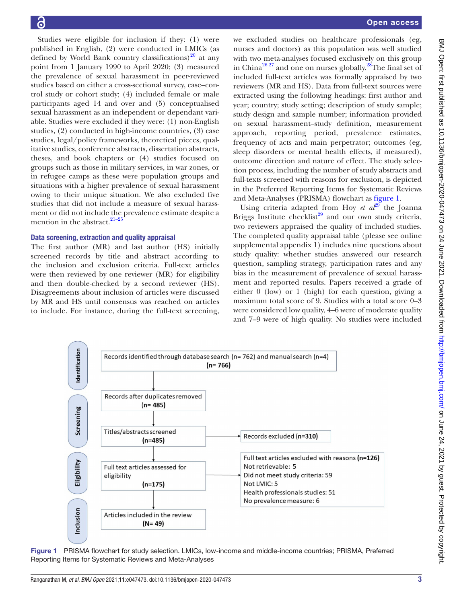Studies were eligible for inclusion if they: (1) were published in English, (2) were conducted in LMICs (as defined by World Bank country classifications)<sup>20</sup> at any point from 1 January 1990 to April 2020; (3) measured the prevalence of sexual harassment in peer-reviewed studies based on either a cross-sectional survey, case–control study or cohort study; (4) included female or male participants aged 14 and over and (5) conceptualised sexual harassment as an independent or dependant variable. Studies were excluded if they were: (1) non-English studies, (2) conducted in high-income countries, (3) case studies, legal/policy frameworks, theoretical pieces, qualitative studies, conference abstracts, dissertation abstracts, theses, and book chapters or (4) studies focused on groups such as those in military services, in war zones, or in refugee camps as these were population groups and situations with a higher prevalence of sexual harassment owing to their unique situation. We also excluded five studies that did not include a measure of sexual harassment or did not include the prevalence estimate despite a mention in the abstract. $21-25$ 

#### Data screening, extraction and quality appraisal

The first author (MR) and last author (HS) initially screened records by title and abstract according to the inclusion and exclusion criteria. Full-text articles were then reviewed by one reviewer (MR) for eligibility and then double-checked by a second reviewer (HS). Disagreements about inclusion of articles were discussed by MR and HS until consensus was reached on articles to include. For instance, during the full-text screening,

we excluded studies on healthcare professionals (eg, nurses and doctors) as this population was well studied with two meta-analyses focused exclusively on this group in China<sup>[26 27](#page-13-2)</sup> and one on nurses globally.<sup>28</sup>The final set of included full-text articles was formally appraised by two reviewers (MR and HS). Data from full-text sources were extracted using the following headings: first author and year; country; study setting; description of study sample; study design and sample number; information provided on sexual harassment–study definition, measurement approach, reporting period, prevalence estimates, frequency of acts and main perpetrator; outcomes (eg, sleep disorders or mental health effects, if measured), outcome direction and nature of effect. The study selection process, including the number of study abstracts and full-texts screened with reasons for exclusion, is depicted in the Preferred Reporting Items for Systematic Reviews and Meta-Analyses (PRISMA) flowchart as [figure](#page-2-0) 1.

Using criteria adapted from Hoy *et*  $a^{29}$  $a^{29}$  $a^{29}$  the Joanna Briggs Institute checklist<sup>29</sup> and our own study criteria, two reviewers appraised the quality of included studies. The completed quality appraisal table (please see [online](https://dx.doi.org/10.1136/bmjopen-2020-047473)  [supplemental appendix 1\)](https://dx.doi.org/10.1136/bmjopen-2020-047473) includes nine questions about study quality: whether studies answered our research question, sampling strategy, participation rates and any bias in the measurement of prevalence of sexual harassment and reported results. Papers received a grade of either 0 (low) or 1 (high) for each question, giving a maximum total score of 9. Studies with a total score 0–3 were considered low quality, 4–6 were of moderate quality and 7–9 were of high quality. No studies were included



<span id="page-2-0"></span>Figure 1 PRISMA flowchart for study selection. LMICs, low-income and middle-income countries; PRISMA, Preferred Reporting Items for Systematic Reviews and Meta-Analyses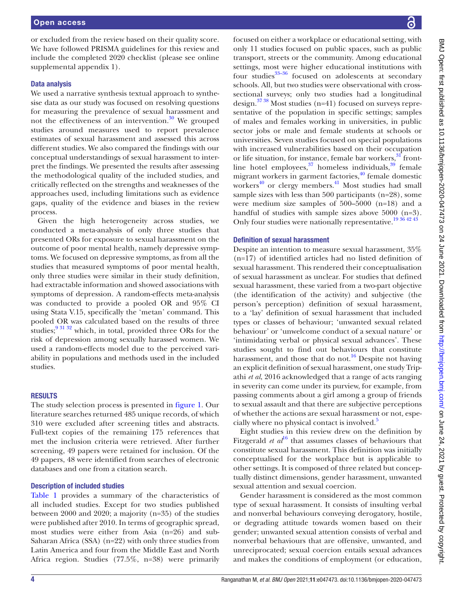or excluded from the review based on their quality score. We have followed PRISMA guidelines for this review and include the completed 2020 checklist (please see [online](https://dx.doi.org/10.1136/bmjopen-2020-047473) [supplemental appendix 1](https://dx.doi.org/10.1136/bmjopen-2020-047473)).

#### Data analysis

We used a narrative synthesis textual approach to synthesise data as our study was focused on resolving questions for measuring the prevalence of sexual harassment and not the effectiveness of an intervention. $30$  We grouped studies around measures used to report prevalence estimates of sexual harassment and assessed this across different studies. We also compared the findings with our conceptual understandings of sexual harassment to interpret the findings. We presented the results after assessing the methodological quality of the included studies, and critically reflected on the strengths and weaknesses of the approaches used, including limitations such as evidence gaps, quality of the evidence and biases in the review process.

Given the high heterogeneity across studies, we conducted a meta-analysis of only three studies that presented ORs for exposure to sexual harassment on the outcome of poor mental health, namely depressive symptoms. We focused on depressive symptoms, as from all the studies that measured symptoms of poor mental health, only three studies were similar in their study definition, had extractable information and showed associations with symptoms of depression. A random-effects meta-analysis was conducted to provide a pooled OR and 95% CI using Stata V.15, specifically the 'metan' command. This pooled OR was calculated based on the results of three studies; $9\frac{31\,32}{1}$  which, in total, provided three ORs for the risk of depression among sexually harassed women. We used a random-effects model due to the perceived variability in populations and methods used in the included studies.

#### **RESULTS**

The study selection process is presented in [figure](#page-2-0) 1. Our literature searches returned 485 unique records, of which 310 were excluded after screening titles and abstracts. Full-text copies of the remaining 175 references that met the inclusion criteria were retrieved. After further screening, 49 papers were retained for inclusion. Of the 49 papers, 48 were identified from searches of electronic databases and one from a citation search.

#### Description of included studies

[Table](#page-4-0) 1 provides a summary of the characteristics of all included studies. Except for two studies published between 2000 and 2020; a majority (n=35) of the studies were published after 2010. In terms of geographic spread, most studies were either from Asia (n=26) and sub-Saharan Africa (SSA) (n=22) with only three studies from Latin America and four from the Middle East and North Africa region. Studies (77.5%, n=38) were primarily

focused on either a workplace or educational setting, with only 11 studies focused on public spaces, such as public transport, streets or the community. Among educational settings, most were higher educational institutions with four studies $33-36$  focused on adolescents at secondary schools. All, but two studies were observational with crosssectional surveys; only two studies had a longitudinal design.<sup>37</sup> 38 Most studies (n=41) focused on surveys representative of the population in specific settings; samples of males and females working in universities, in public sector jobs or male and female students at schools or universities. Seven studies focused on special populations with increased vulnerabilities based on their occupation or life situation, for instance, female bar workers, $31$  frontline hotel employees, $37$  homeless individuals, $39$  female migrant workers in garment factories, $40$  female domestic workers $40$  or clergy members. $41$  Most studies had small sample sizes with less than 500 participants (n=28), some were medium size samples of 500–5000 (n=18) and a handful of studies with sample sizes above 5000 (n=3). Only four studies were nationally representative.<sup>19 36 42 43</sup>

#### Definition of sexual harassment

Despite an intention to measure sexual harassment, 35% (n=17) of identified articles had no listed definition of sexual harassment. This rendered their conceptualisation of sexual harassment as unclear. For studies that defined sexual harassment, these varied from a two-part objective (the identification of the activity) and subjective (the person's perception) definition of sexual harassment, to a 'lay' definition of sexual harassment that included types or classes of behaviour; 'unwanted sexual related behaviour' or 'unwelcome conduct of a sexual nature' or 'intimidating verbal or physical sexual advances'. These studies sought to find out behaviours that constitute harassment, and those that do not.<sup>16</sup> Despite not having an explicit definition of sexual harassment, one study Tripathi *et al*, 2016 acknowledged that a range of acts ranging in severity can come under its purview, for example, from passing comments about a girl among a group of friends to sexual assault and that there are subjective perceptions of whether the actions are sexual harassment or not, espe-cially where no physical contact is involved.<sup>[5](#page-12-4)</sup>

Eight studies in this review drew on the definition by Fitzgerald *et*  $al^{16}$  $al^{16}$  $al^{16}$  that assumes classes of behaviours that constitute sexual harassment. This definition was initially conceptualised for the workplace but is applicable to other settings. It is composed of three related but conceptually distinct dimensions, gender harassment, unwanted sexual attention and sexual coercion.

Gender harassment is considered as the most common type of sexual harassment. It consists of insulting verbal and nonverbal behaviours conveying derogatory, hostile, or degrading attitude towards women based on their gender; unwanted sexual attention consists of verbal and nonverbal behaviours that are offensive, unwanted, and unreciprocated; sexual coercion entails sexual advances and makes the conditions of employment (or education,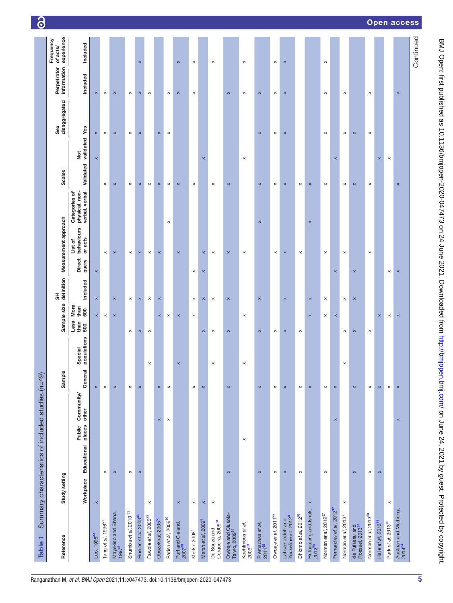<span id="page-4-0"></span>

| Table 1                                              |                                                    |                                         |                |                        |                                                |                       |                 |                                  |                                                   |                                          |                      |                            |                                     |
|------------------------------------------------------|----------------------------------------------------|-----------------------------------------|----------------|------------------------|------------------------------------------------|-----------------------|-----------------|----------------------------------|---------------------------------------------------|------------------------------------------|----------------------|----------------------------|-------------------------------------|
|                                                      | Summary characteristics of included studies (n=49) |                                         |                |                        |                                                |                       |                 |                                  |                                                   |                                          |                      |                            |                                     |
| Reference                                            | Study setting                                      |                                         | Sample         |                        | Sample size                                    | definition<br>운       |                 | Measurement approach             |                                                   | <b>Scales</b>                            | disaggregated<br>Sex | Perpetrator<br>information | experience<br>Frequency<br>of acts/ |
|                                                      | Educational<br>Workplace                           | Community/<br>other<br>Public<br>places | General        | populations<br>Special | More<br>than<br>500<br>Less<br>$\frac{50}{50}$ | Included              | Direct<br>query | behaviours<br>or acts<br>List of | physical, non-<br>verbal, verbal<br>Categories of | Validated validated Yes<br>$\frac{1}{2}$ |                      | Included                   | Included                            |
| Luo, 1996 <sup>44</sup>                              | $\pmb{\times}$                                     |                                         | $\pmb{\times}$ |                        | $\times$                                       | $\pmb{\times}$        | $\pmb{\times}$  |                                  |                                                   | $\pmb{\times}$                           | $\times$             | $\times$                   |                                     |
| Tang et al, 1996 <sup>50</sup>                       | $\times$                                           |                                         | $\times$       |                        | $\times$                                       |                       |                 | $\times$                         |                                                   | $\times$                                 | $\times$             | $\times$                   |                                     |
| Mayekiso and Bhana,<br>1997 <sup>51</sup>            | $\pmb{\times}$                                     |                                         | $\pmb{\times}$ |                        | $\pmb{\times}$                                 | $\times$              |                 | $\times$                         |                                                   | $\pmb{\times}$                           | $\times$             | $\times$                   |                                     |
| Shumba et al, 2010 <sup>52</sup>                     | $\times$                                           |                                         | $\times$       |                        | $\times$                                       | $\times$              |                 | $\times$                         |                                                   | $\times$                                 | $\times$             | $\times$                   |                                     |
| Fineran et al, 2003 <sup>35</sup>                    | $\pmb{\times}$                                     |                                         | $\pmb{\times}$ |                        | $\times$                                       | $\pmb{\times}$        |                 | $\times$                         |                                                   | $\times$                                 | $\pmb{\times}$       | $\times$                   | $\pmb{\times}$                      |
| Fawole et al, 2005 <sup>38</sup>                     | $\times$                                           |                                         |                | $\times$               | $\times$                                       | $\times$              |                 | $\times$                         |                                                   | $\times$                                 |                      | $\times$                   |                                     |
| Obozokhai, 2005 <sup>53</sup>                        |                                                    | $\times$                                | $\times$       |                        | $\times$                                       | $\boldsymbol{\times}$ |                 | $\times$                         |                                                   | $\times$                                 | $\times$             |                            |                                     |
| Parish et al, 2006 <sup>19</sup>                     |                                                    | $\times$                                | $\times$       |                        | $\times$                                       |                       |                 |                                  | $\times$                                          | $\times$                                 | $\times$             | $\times$                   |                                     |
| Puri and Cleland,<br>2007 <sup>40</sup>              | $\pmb{\times}$                                     |                                         |                | $\pmb{\times}$         | $\pmb{\times}$                                 |                       |                 | $\pmb{\times}$                   |                                                   | $\pmb{\times}$                           |                      | $\pmb{\times}$             | $\pmb{\times}$                      |
| Merkin 2008                                          | $\times$                                           |                                         | $\times$       |                        | $\times$                                       | $\times$              | $\times$        |                                  |                                                   | $\times$                                 |                      | $\times$                   | $\times$                            |
| Marsh et al, 2009 <sup>9</sup>                       | $\times$                                           |                                         | $\times$       |                        | $\times$                                       | $\times$              | $\pmb{\times}$  | $\times$                         |                                                   | $\boldsymbol{\times}$                    |                      |                            |                                     |
| Cerqueira, 2009 <sup>80</sup><br>De Souza and        | $\times$                                           |                                         |                | $\boldsymbol{\times}$  | $\times$                                       | $\times$              |                 | $\times$                         |                                                   | $\times$                                 |                      |                            | $\times$                            |
| Owoaje and Olusola-<br>Taiwo, 2009 <sup>54</sup>     | $\pmb{\times}$                                     |                                         | $\pmb{\times}$ |                        | $\times$                                       | $\pmb{\times}$        |                 | $\times$                         |                                                   | $\times$                                 |                      | $\times$                   |                                     |
| Koehlmoos e <i>t al</i> ,<br>2009 <sup>39</sup>      |                                                    | $\times$                                |                | $\times$               | $\times$                                       |                       |                 | $\times$                         |                                                   | $\times$                                 |                      | $\times$                   | $\times$                            |
| Premadasa e <i>t al</i> ,<br>2011 <sup>65</sup>      | $\pmb{\times}$                                     |                                         | $\pmb{\times}$ |                        | $\pmb{\times}$                                 | $\pmb{\times}$        |                 |                                  | $\pmb{\times}$                                    | $\times$                                 | $\times$             | $\times$                   |                                     |
| Owoaje et al, 2011 <sup>55</sup>                     | $\times$                                           |                                         | $\times$       |                        | $\times$                                       |                       |                 | $\times$                         |                                                   | $\times$                                 | $\times$             | $\times$                   | $\times$                            |
| Lahsaeizadeh and<br>Yousefinejad, 2012 <sup>81</sup> | $\pmb{\times}$                                     |                                         | $\pmb{\times}$ |                        | $\pmb{\times}$                                 | $\pmb{\times}$        |                 | $\times$                         |                                                   | $\times$                                 | $\pmb{\times}$       | $\times$                   | $\pmb{\times}$                      |
| Dhlomo et al, 2012 <sup>56</sup>                     | $\times$                                           |                                         | $\times$       |                        | $\times$                                       |                       |                 | $\times$                         |                                                   | $\times$                                 |                      |                            |                                     |
| Hutagalang and Ishak,<br>2012 <sup>66</sup>          | $\pmb{\times}$                                     |                                         | $\pmb{\times}$ |                        | $\pmb{\times}$                                 | $\pmb{\times}$        |                 |                                  | $\pmb{\times}$                                    | $\pmb{\times}$                           |                      |                            |                                     |
| Norman et al, 2012 <sup>57</sup>                     | $\times$                                           |                                         | $\times$       |                        | $\times$                                       | $\times$              |                 | $\times$                         |                                                   | $\times$                                 | $\times$             | $\times$                   | $\times$                            |
| Fernandes et al, 2012 <sup>32</sup>                  |                                                    | $\times$                                | $\pmb{\times}$ |                        | $\times$                                       |                       | $\pmb{\times}$  |                                  |                                                   | $\pmb{\times}$                           |                      |                            |                                     |
| Norman et al, 2013 <sup>41</sup>                     | $\times$                                           |                                         |                | $\times$               | $\times$                                       | $\times$              |                 | $\times$                         |                                                   | $\times$                                 | $\times$             | $\times$                   |                                     |
| de Puiseau and<br>Roessel, 2013 <sup>34</sup>        | $\times$                                           |                                         | $\times$       |                        | $\pmb{\times}$                                 | $\pmb{\times}$        | $\pmb{\times}$  |                                  |                                                   | $\pmb{\times}$                           | $\pmb{\times}$       |                            |                                     |
| Norman et al, 2013 <sup>58</sup>                     | $\times$                                           |                                         | $\times$       |                        | $\times$                                       |                       |                 | $\times$                         |                                                   | $\times$                                 | $\times$             | $\times$                   |                                     |
| Haile et al, 2013 <sup>82</sup>                      | $\pmb{\times}$                                     |                                         | $\times$       |                        | $\times$                                       |                       |                 |                                  |                                                   | $\times$                                 |                      |                            |                                     |
| Park et al, 2013 <sup>42</sup>                       | $\times$                                           |                                         | $\times$       |                        | $\times$                                       |                       | $\times$        |                                  |                                                   | $\times$                                 |                      |                            |                                     |
| Austrian and Muthengi,<br>2014 <sup>33</sup>         |                                                    | $\pmb{\times}$                          | $\pmb{\times}$ |                        | $\times$                                       |                       | $\pmb{\times}$  |                                  |                                                   | $\pmb{\times}$                           |                      | $\pmb{\times}$             |                                     |
|                                                      |                                                    |                                         |                |                        |                                                |                       |                 |                                  |                                                   |                                          |                      |                            | Continued                           |

## Open acce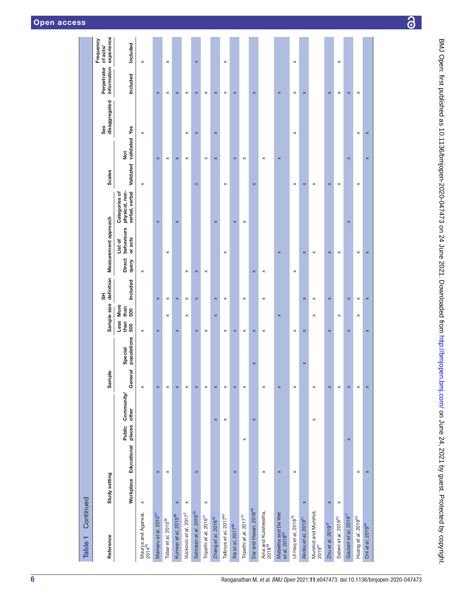| Open access |  |
|-------------|--|
|-------------|--|

| NO pen: first published as 10.1136/bmjopen-2020-047473 on 24 June 2021. Downloaded from http://bmjopen.p |
|----------------------------------------------------------------------------------------------------------|
|                                                                                                          |
|                                                                                                          |
|                                                                                                          |
|                                                                                                          |
|                                                                                                          |
|                                                                                                          |
|                                                                                                          |
|                                                                                                          |
|                                                                                                          |
|                                                                                                          |
|                                                                                                          |
|                                                                                                          |
|                                                                                                          |
|                                                                                                          |
|                                                                                                          |
|                                                                                                          |
|                                                                                                          |
|                                                                                                          |
|                                                                                                          |
|                                                                                                          |
|                                                                                                          |
|                                                                                                          |
|                                                                                                          |
|                                                                                                          |
|                                                                                                          |
|                                                                                                          |
|                                                                                                          |
|                                                                                                          |
|                                                                                                          |
|                                                                                                          |
|                                                                                                          |
|                                                                                                          |
|                                                                                                          |
| is<br>-<br>-<br>-                                                                                        |
|                                                                                                          |
| ו<br>ו                                                                                                   |
|                                                                                                          |
|                                                                                                          |
|                                                                                                          |
|                                                                                                          |
|                                                                                                          |
|                                                                                                          |
|                                                                                                          |
|                                                                                                          |
|                                                                                                          |
|                                                                                                          |

| Continued<br>Table 1                            |                       |                                               |                              |                        |                                            |                              |                        |                                  |                                                   |                            |                      |                            |                                     |
|-------------------------------------------------|-----------------------|-----------------------------------------------|------------------------------|------------------------|--------------------------------------------|------------------------------|------------------------|----------------------------------|---------------------------------------------------|----------------------------|----------------------|----------------------------|-------------------------------------|
| Reference                                       | Study setting         |                                               | $\pmb{\mathsf{c}}$<br>Sample |                        | Sample size                                | definition<br>$\overline{5}$ |                        | Measurement approach             |                                                   | <b>Scales</b>              | disaggregated<br>Sex | information<br>Perpetrator | experience<br>Frequency<br>of acts/ |
|                                                 | Workplace Educational | <b>Community</b><br>other<br>places<br>Public | General                      | populations<br>Special | More<br>than<br>500<br>Less<br>than<br>500 | Included                     | <b>Direct</b><br>query | behaviours<br>or acts<br>List of | physical, non-<br>verbal, verbal<br>Categories of | $\frac{1}{2}$<br>Validated | validated Yes        | Included                   | Included                            |
| Maurya and Agarwal,<br>2014 <sup>45</sup>       | $\times$              |                                               | $\pmb{\times}$               |                        | $\pmb{\times}$                             |                              | $\pmb{\times}$         |                                  |                                                   | $\times$                   | $\times$             |                            | $\pmb{\times}$                      |
| Mamaru et al, 2015 <sup>67</sup>                | $\pmb{\times}$        |                                               | $\pmb{\times}$               |                        | $\pmb{\times}$                             | $\pmb{\times}$               |                        |                                  | $\pmb{\times}$                                    | $\pmb{\times}$             |                      | $\pmb{\times}$             |                                     |
| Tobar et al, 2015 <sup>59</sup>                 | $\times$              |                                               | $\times$                     |                        | $\times$                                   | $\times$                     |                        | $\times$                         |                                                   | $\times$                   |                      | $\times$                   | $\times$                            |
| Kunwar et al, 2015 <sup>68</sup>                | $\times$              |                                               | $\times$                     |                        | $\times$                                   | $\times$                     |                        |                                  | $\times$                                          | $\pmb{\times}$             |                      | $\times$                   |                                     |
| Vuckovic et al, 2017 <sup>3</sup>               | $\boldsymbol{\times}$ |                                               | $\times$                     |                        | $\times$                                   | $\times$                     | $\times$               |                                  |                                                   | $\times$                   | ×                    | $\times$                   |                                     |
| Sahraian et al, 2016 <sup>46</sup>              | $\pmb{\times}$        |                                               | $\boldsymbol{\times}$        |                        | $\pmb{\times}$                             | $\times$                     | $\pmb{\times}$         |                                  |                                                   | $\pmb{\times}$             | $\times$             | $\pmb{\times}$             | $\pmb{\times}$                      |
| Tripathi et al, 2016 <sup>47</sup>              | $\boldsymbol{\times}$ |                                               | $\times$                     |                        | $\times$                                   |                              | $\times$               |                                  |                                                   | $\times$                   |                      | $\times$                   |                                     |
| Zhang et al, 2016 <sup>43</sup>                 |                       | $\pmb{\times}$                                | $\pmb{\times}$               |                        | $\pmb{\times}$                             | $\pmb{\times}$               |                        | $\pmb{\times}$                   |                                                   | $\pmb{\times}$             | $\pmb{\times}$       | $\pmb{\times}$             |                                     |
| Talboys et al, 2017 <sup>60</sup>               |                       | $\times$                                      | $\times$                     |                        | $\times$                                   | $\times$                     |                        | $\times$                         |                                                   | $\times$                   |                      | $\times$                   | $\times$                            |
| Xie et al, 2017 <sup>69</sup>                   | $\pmb{\times}$        |                                               | $\pmb{\times}$               |                        | $\pmb{\times}$                             |                              |                        | $\times$                         |                                                   | $\times$                   |                      | $\pmb{\times}$             |                                     |
| Tripathi et al, 2017 <sup>70</sup>              | $\times$              |                                               | $\times$                     |                        | $\times$                                   | $\times$                     |                        |                                  | $\times$                                          | $\times$                   |                      |                            |                                     |
| Dar and Hasan, 2018 <sup>48</sup>               |                       | $\times$                                      | $\times$                     |                        | $\pmb{\times}$                             |                              | $\pmb{\times}$         |                                  |                                                   | $\pmb{\times}$             |                      | $\pmb{\times}$             |                                     |
| Aina and Kulshrestha,<br>2018 <sup>49</sup>     | $\times$              |                                               | $\times$                     |                        | $\times$                                   | $\times$                     | $\times$               |                                  |                                                   | $\times$                   |                      |                            |                                     |
| Mabetha and De Wet<br>et al, 2018 <sup>36</sup> | $\pmb{\times}$        |                                               | $\pmb{\times}$               |                        | $\pmb{\times}$                             |                              |                        | $\pmb{\times}$                   |                                                   | $\pmb{\times}$             |                      | $\pmb{\times}$             |                                     |
| Ul Haq et al, 2018 <sup>76</sup>                | $\times$              |                                               | $\times$                     |                        | $\times$                                   |                              | $\times$               |                                  |                                                   | $\times$                   | $\times$             | $\times$                   | $\times$                            |
| Akoku et al, 2019 <sup>31</sup>                 | $\times$              |                                               | $\times$                     |                        | $\pmb{\times}$                             | $\times$                     |                        | $\pmb{\times}$                   |                                                   | $\pmb{\times}$             |                      | $\pmb{\times}$             |                                     |
| Murshid and Murshid,<br>2019 <sup>61</sup>      |                       | $\times$                                      | $\times$                     |                        | $\times$                                   | $\times$                     |                        | $\times$                         |                                                   | $\times$                   |                      |                            |                                     |
| Zhu et al, 2019 <sup>37</sup>                   | $\pmb{\times}$        |                                               | $\pmb{\times}$               |                        | $\times$                                   | $\pmb{\times}$               |                        | $\pmb{\times}$                   |                                                   | $\pmb{\times}$             |                      | $\pmb{\times}$             |                                     |
| Saberi et al, 2019 <sup>62</sup>                | $\boldsymbol{\times}$ |                                               | $\times$                     |                        | $\times$                                   |                              |                        | $\times$                         |                                                   | $\times$                   |                      | $\times$                   | $\pmb{\times}$                      |
| Gautam et al, 2019 <sup>71</sup>                | $\pmb{\times}$        |                                               | $\pmb{\times}$               |                        | $\pmb{\times}$                             | $\times$                     |                        |                                  | $\times$                                          | $\pmb{\times}$             |                      | $\pmb{\times}$             |                                     |
| Huang et al, 2019 <sup>63</sup>                 | $\times$              |                                               | $\times$                     |                        | $\boldsymbol{\times}$                      | $\times$                     |                        | $\times$                         |                                                   | $\times$                   | $\times$             | $\times$                   |                                     |
| Oni et al, 2019 <sup>64</sup>                   | $\pmb{\times}$        |                                               | $\pmb{\times}$               |                        | $\pmb{\times}$                             | $\pmb{\times}$               |                        | $\pmb{\times}$                   |                                                   | $\pmb{\times}$             | $\pmb{\times}$       |                            |                                     |
|                                                 |                       |                                               |                              |                        |                                            |                              |                        |                                  |                                                   |                            |                      |                            |                                     |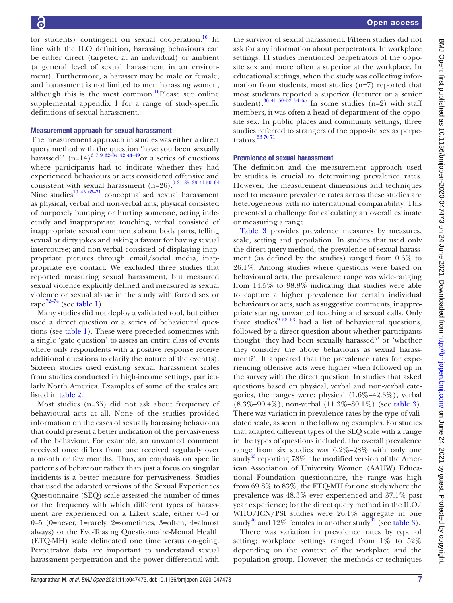for students) contingent on sexual cooperation.<sup>16</sup> In line with the ILO definition, harassing behaviours can be either direct (targeted at an individual) or ambient (a general level of sexual harassment in an environment). Furthermore, a harasser may be male or female, and harassment is not limited to men harassing women, although this is the most common.<sup>16</sup>Please see [online](https://dx.doi.org/10.1136/bmjopen-2020-047473) [supplemental appendix 1](https://dx.doi.org/10.1136/bmjopen-2020-047473) for a range of study-specific definitions of sexual harassment.

#### Measurement approach for sexual harassment

The measurement approach in studies was either a direct query method with the question 'have you been sexually harassed?'  $(n=14)^{37932-34424-49}$  or a series of questions where participants had to indicate whether they had experienced behaviours or acts considered offensive and consistent with sexual harassment  $(n=26)$ .<sup>9</sup> <sup>31</sup> <sup>35-39</sup> <sup>41</sup> <sup>50-64</sup> Nine studies<sup>19 43 65-71</sup> conceptualised sexual harassment as physical, verbal and non-verbal acts; physical consisted of purposely bumping or hurting someone, acting indecently and inappropriate touching, verbal consisted of inappropriate sexual comments about body parts, telling sexual or dirty jokes and asking a favour for having sexual intercourse; and non-verbal consisted of displaying inappropriate pictures through email/social media, inappropriate eye contact. We excluded three studies that reported measuring sexual harassment, but measured sexual violence explicitly defined and measured as sexual violence or sexual abuse in the study with forced sex or rape<sup>[72–74](#page-14-5)</sup> (see [table](#page-4-0) 1).

Many studies did not deploy a validated tool, but either used a direct question or a series of behavioural questions (see [table](#page-4-0) 1). These were preceded sometimes with a single 'gate question' to assess an entire class of events where only respondents with a positive response receive additional questions to clarify the nature of the event(s). Sixteen studies used existing sexual harassment scales from studies conducted in high-income settings, particularly North America. Examples of some of the scales are listed in [table](#page-7-0) 2.

Most studies (n=35) did not ask about frequency of behavioural acts at all. None of the studies provided information on the cases of sexually harassing behaviours that could present a better indication of the pervasiveness of the behaviour. For example, an unwanted comment received once differs from one received regularly over a month or few months. Thus, an emphasis on specific patterns of behaviour rather than just a focus on singular incidents is a better measure for pervasiveness. Studies that used the adapted versions of the Sexual Experiences Questionnaire (SEQ) scale assessed the number of times or the frequency with which different types of harassment are experienced on a Likert scale, either 0–4 or 0–5 (0=never, 1=rarely, 2=sometimes, 3=often, 4=almost always) or the Eve-Teasing Questionnaire-Mental Health (ETQ-MH) scale delineated one time versus on-going. Perpetrator data are important to understand sexual harassment perpetration and the power differential with

the survivor of sexual harassment. Fifteen studies did not ask for any information about perpetrators. In workplace settings, 11 studies mentioned perpetrators of the opposite sex and more often a superior at the workplace. In educational settings, when the study was collecting information from students, most studies (n=7) reported that most students reported a superior (lecturer or a senior student).<sup>36 41 50–52 54 65</sup> In some studies (n=2) with staff members, it was often a head of department of the opposite sex. In public places and community settings, three studies referred to strangers of the opposite sex as perpetrators.[33 70 71](#page-13-6)

#### Prevalence of sexual harassment

The definition and the measurement approach used by studies is crucial to determining prevalence rates. However, the measurement dimensions and techniques used to measure prevalence rates across these studies are heterogeneous with no international comparability. This presented a challenge for calculating an overall estimate or measuring a range.

[Table](#page-8-0) 3 provides prevalence measures by measures, scale, setting and population. In studies that used only the direct query method, the prevalence of sexual harassment (as defined by the studies) ranged from 0.6% to 26.1%. Among studies where questions were based on behavioural acts, the prevalence range was wide-ranging from 14.5% to 98.8% indicating that studies were able to capture a higher prevalence for certain individual behaviours or acts, such as suggestive comments, inappropriate staring, unwanted touching and sexual calls. Only three studies<sup>9</sup>  $\frac{58}{63}$  had a list of behavioural questions, followed by a direct question about whether participants thought 'they had been sexually harassed?' or 'whether they consider the above behaviours as sexual harassment?'. It appeared that the prevalence rates for experiencing offensive acts were higher when followed up in the survey with the direct question. In studies that asked questions based on physical, verbal and non-verbal categories, the ranges were: physical (1.6%–42.3%), verbal (8.3%–90.4%), non-verbal (11.3%–80.1%) (see [table](#page-8-0) 3). There was variation in prevalence rates by the type of validated scale, as seen in the following examples. For studies that adapted different types of the SEQ scale with a range in the types of questions included, the overall prevalence range from six studies was 6.2%–28% with only one study<sup>63</sup> reporting 78%; the modified version of the American Association of University Women (AAUW) Educational Foundation questionnaire, the range was high from 69.8% to 83%, the ETQ-MH for one study where the prevalence was 48.3% ever experienced and 37.1% past year experience; for the direct query method in the ILO/ WHO/ICN/PSI studies were 26.1% aggregate in one study<sup>[46](#page-13-33)</sup> and 12% females in another study<sup>62</sup> (see [table](#page-8-0) 3).

There was variation in prevalence rates by type of setting; workplace settings ranged from 1% to 52% depending on the context of the workplace and the population group. However, the methods or techniques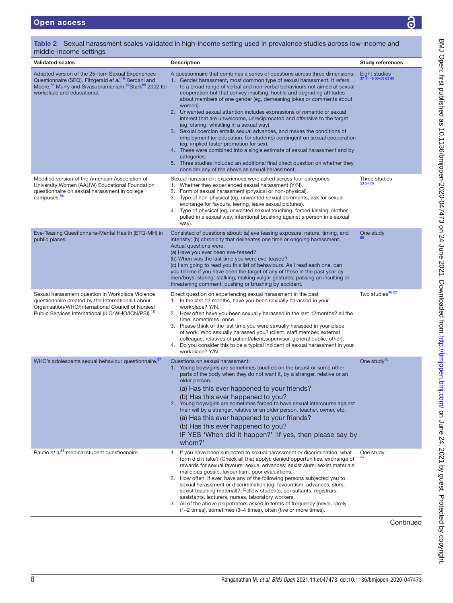| middle-income settings                                                                                                                                                                                                                            |                                                                                                                                                                                                                                                                                                                                                                                                                                                                                                                                                                                                                                                                                                                                                                                                                                                                                                                                                                                                                                       |                                       |
|---------------------------------------------------------------------------------------------------------------------------------------------------------------------------------------------------------------------------------------------------|---------------------------------------------------------------------------------------------------------------------------------------------------------------------------------------------------------------------------------------------------------------------------------------------------------------------------------------------------------------------------------------------------------------------------------------------------------------------------------------------------------------------------------------------------------------------------------------------------------------------------------------------------------------------------------------------------------------------------------------------------------------------------------------------------------------------------------------------------------------------------------------------------------------------------------------------------------------------------------------------------------------------------------------|---------------------------------------|
| <b>Validated scales</b>                                                                                                                                                                                                                           | <b>Description</b>                                                                                                                                                                                                                                                                                                                                                                                                                                                                                                                                                                                                                                                                                                                                                                                                                                                                                                                                                                                                                    | <b>Study references</b>               |
| Adapted version of the 25-item Sexual Experiences<br>Questionnaire (SEQ), Fitzgerald et al, <sup>16</sup> Berdahl and<br>Moore, <sup>83</sup> Murry and Sivasubramaniam, <sup>84</sup> Stark <sup>85</sup> 2002 for<br>workplace and educational. | A questionnaire that combines a series of questions across three dimensions:<br>Gender harassment, most common type of sexual harassment. It refers<br>1.<br>to a broad range of verbal and non-verbal behaviours not aimed at sexual<br>cooperation but that convey insulting, hostile and degrading attitudes<br>about members of one gender (eg, demeaning jokes or comments about<br>women).<br>2. Unwanted sexual attention includes expressions of romantic or sexual<br>interest that are unwelcome, unreciprocated and offensive to the target<br>(eg, staring, whistling in a sexual way).<br>3. Sexual coercion entails sexual advances, and makes the conditions of<br>employment (or education, for students) contingent on sexual cooperation<br>(eg, implied faster promotion for sex).<br>4. These were combined into a single estimate of sexual harassment and by<br>categories.<br>5. Three studies included an additional final direct question on whether they<br>consider any of the above as sexual harassment. | Eight studies<br>37 41 45 56-58 63 80 |
| Modified version of the American Association of<br>University Women (AAUW) Educational Foundation<br>questionnaire on sexual harassment in college<br>campuses. <sup>86</sup>                                                                     | Sexual harassment experiences were asked across four categories:<br>1. Whether they experienced sexual harassment (Y/N).<br>2.<br>Form of sexual harassment (physical or non-physical).<br>3. Type of non-physical (eg, unwanted sexual comments, ask for sexual<br>exchange for favours, leering, leave sexual pictures).<br>4. Type of physical (eg, unwanted sexual touching, forced kissing, clothes<br>pulled in a sexual way, intentional brushing against a person in a sexual<br>way).                                                                                                                                                                                                                                                                                                                                                                                                                                                                                                                                        | Three studies<br>53 54 76             |
| Eve-Teasing Questionnaire-Mental Health (ETQ-MH) in<br>public places.                                                                                                                                                                             | Consisted of questions about: (a) eve teasing exposure, nature, timing, and<br>intensity; (b) chronicity that delineates one time or ongoing harassment.<br>Actual questions were:<br>(a) Have you ever been eve-teased?<br>(b) When was the last time you were eve-teased?<br>(c) I am going to read you this list of behaviours. As I read each one, can<br>you tell me if you have been the target of any of these in the past year by<br>men/boys: staring; stalking; making vulgar gestures; passing an insulting or<br>threatening comment; pushing or brushing by accident.                                                                                                                                                                                                                                                                                                                                                                                                                                                    | One study                             |
| Sexual harassment question in Workplace Violence<br>questionnaire created by the International Labour<br>Organisation/WHO/International Council of Nurses/<br>Public Services International (ILO/WHO/ICN/PSI). <sup>18</sup>                      | Direct question on experiencing sexual harassment in the past<br>1. In the last 12 months, have you been sexually harassed in your<br>workplace? Y/N.<br>2. How often have you been sexually harassed in the last 12 months? all the<br>time, sometimes, once.<br>3. Please think of the last time you were sexually harassed in your place<br>of work. Who sexually harassed you? (client, staff member, external<br>colleague, relatives of patient/client, supervisor, general public, other).<br>4. Do you consider this to be a typical incident of sexual harassment in your<br>workplace? Y/N.                                                                                                                                                                                                                                                                                                                                                                                                                                 | Two studies <sup>46 62</sup>          |
| WHO's adolescents sexual behaviour questionnaire. 87                                                                                                                                                                                              | Questions on sexual harassment:<br>1. Young boys/girls are sometimes touched on the breast or some other<br>parts of the body when they do not want it, by a stranger, relative or an<br>older person.<br>(a) Has this ever happened to your friends?<br>(b) Has this ever happened to you?<br>2. Young boys/girls are sometimes forced to have sexual intercourse against<br>their will by a stranger, relative or an older person, teacher, owner, etc.<br>(a) Has this ever happened to your friends?<br>(b) Has this ever happened to you?<br>IF YES 'When did it happen?' 'If yes, then please say by<br>whom?'                                                                                                                                                                                                                                                                                                                                                                                                                  | One study <sup>40</sup>               |
| Rautio et al <sup>88</sup> medical student questionnaire.                                                                                                                                                                                         | 1. If you have been subjected to sexual harassment or discrimination, what<br>form did it take? (Check all that apply): denied opportunities, exchange of<br>rewards for sexual favours; sexual advances; sexist slurs; sexist materials;<br>malicious gossip, favouritism, poor evaluations.<br>2. How often, if ever, have any of the following persons subjected you to<br>sexual harassment or discrimination (eg, favouritism, advances, slurs,<br>sexist teaching material)?: Fellow students, consultants, registrars,<br>assistants, lecturers, nurses, laboratory workers.<br>3. All of the above perpetrators asked in terms of frequency (never, rarely<br>(1-2 times), sometimes (3-4 times), often (five or more times).                                                                                                                                                                                                                                                                                                 | One study                             |

<span id="page-7-0"></span>Table 2 Sexual harassment scales validated in high-income setting used in prevalence studies across low-income and

Continued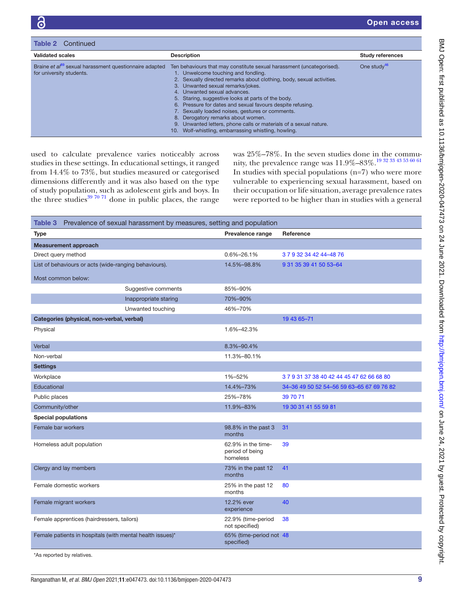| Table 2<br>Continued                                                                           |                                                                                                                                                                                                                                                                                                                                                                                                                                                                                                                                                                                                        |                         |
|------------------------------------------------------------------------------------------------|--------------------------------------------------------------------------------------------------------------------------------------------------------------------------------------------------------------------------------------------------------------------------------------------------------------------------------------------------------------------------------------------------------------------------------------------------------------------------------------------------------------------------------------------------------------------------------------------------------|-------------------------|
| <b>Validated scales</b>                                                                        | <b>Description</b>                                                                                                                                                                                                                                                                                                                                                                                                                                                                                                                                                                                     | <b>Study references</b> |
| Braine et al <sup>89</sup> sexual harassment questionnaire adapted<br>for university students. | Ten behaviours that may constitute sexual harassment (uncategorised).<br>1. Unwelcome touching and fondling.<br>2. Sexually directed remarks about clothing, body, sexual activities.<br>3. Unwanted sexual remarks/jokes.<br>4. Unwanted sexual advances.<br>5. Staring, suggestive looks at parts of the body.<br>6. Pressure for dates and sexual favours despite refusing.<br>7. Sexually loaded noises, gestures or comments.<br>Derogatory remarks about women.<br>8. .<br>9. Unwanted letters, phone calls or materials of a sexual nature.<br>Wolf-whistling, embarrassing whistling, howling. | One study $46$          |

used to calculate prevalence varies noticeably across studies in these settings. In educational settings, it ranged from 14.4% to 73%, but studies measured or categorised dimensions differently and it was also based on the type of study population, such as adolescent girls and boys. In the three studies $397071$  done in public places, the range

was 25%–78%. In the seven studies done in the community, the prevalence range was 11.9%–83%.[19 32 33 43 53 60 61](#page-12-17) In studies with special populations  $(n=7)$  who were more vulnerable to experiencing sexual harassment, based on their occupation or life situation, average prevalence rates were reported to be higher than in studies with a general

<span id="page-8-0"></span>

|                                                           | Table 3 Prevalence of sexual harassment by measures, setting and population |                                                   |                                           |
|-----------------------------------------------------------|-----------------------------------------------------------------------------|---------------------------------------------------|-------------------------------------------|
| <b>Type</b>                                               |                                                                             | Prevalence range                                  | Reference                                 |
| <b>Measurement approach</b>                               |                                                                             |                                                   |                                           |
| Direct query method                                       |                                                                             | 0.6%-26.1%                                        | 3 7 9 32 34 42 44 - 48 76                 |
| List of behaviours or acts (wide-ranging behaviours).     |                                                                             | 14.5%-98.8%                                       | 9 31 35 39 41 50 53 - 64                  |
| Most common below:                                        |                                                                             |                                                   |                                           |
|                                                           | Suggestive comments                                                         | 85%-90%                                           |                                           |
|                                                           | Inappropriate staring                                                       | 70%-90%                                           |                                           |
|                                                           | Unwanted touching                                                           | 46%-70%                                           |                                           |
| Categories (physical, non-verbal, verbal)                 |                                                                             |                                                   | 19 43 65-71                               |
| Physical                                                  |                                                                             | 1.6%-42.3%                                        |                                           |
|                                                           |                                                                             |                                                   |                                           |
| Verbal                                                    |                                                                             | 8.3%-90.4%                                        |                                           |
| Non-verbal                                                |                                                                             | 11.3%-80.1%                                       |                                           |
| <b>Settings</b>                                           |                                                                             |                                                   |                                           |
| Workplace                                                 |                                                                             | 1%-52%                                            | 3 7 9 31 37 38 40 42 44 45 47 62 66 68 80 |
| Educational                                               |                                                                             | 14.4%-73%                                         | 34-36 49 50 52 54-56 59 63-65 67 69 76 82 |
| Public places                                             |                                                                             | 25%-78%                                           | 39 70 71                                  |
| Community/other                                           |                                                                             | 11.9%-83%                                         | 19 30 31 41 55 59 81                      |
| <b>Special populations</b>                                |                                                                             |                                                   |                                           |
| Female bar workers                                        |                                                                             | 98.8% in the past 3<br>months                     | 31                                        |
| Homeless adult population                                 |                                                                             | 62.9% in the time-<br>period of being<br>homeless | 39                                        |
| Clergy and lay members                                    |                                                                             | 73% in the past 12<br>months                      | 41                                        |
| Female domestic workers                                   |                                                                             | 25% in the past 12<br>months                      | 80                                        |
| Female migrant workers                                    |                                                                             | 12.2% ever<br>experience                          | 40                                        |
| Female apprentices (hairdressers, tailors)                |                                                                             | 22.9% (time-period<br>not specified)              | 38                                        |
| Female patients in hospitals (with mental health issues)* |                                                                             | 65% (time-period not 48<br>specified)             |                                           |
| *As reported by relatives.                                |                                                                             |                                                   |                                           |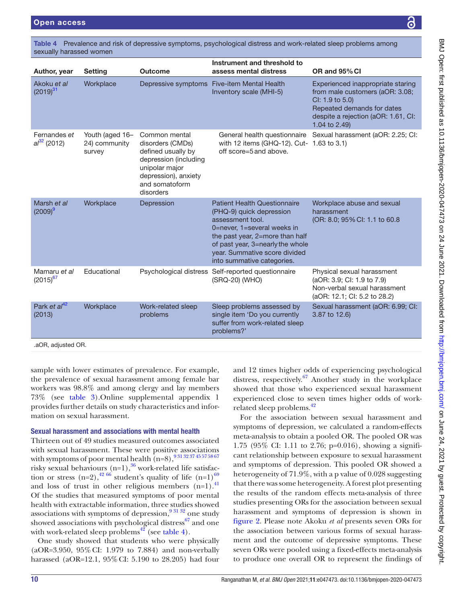sexually harassed wor

Author, year Setting

Akoku *et al*  $(2019)^{31}$ 

Fernandes *et al*[32](#page-13-25) (2012)

Marsh *et al*  $(2009)^{9}$ 

Mamaru *et al*  $(2015)^{67}$ 

Park *et al*<sup>4</sup> (2013)

.aOR, adjusted OR.

| <b>Outcome</b>                                                                                                                                            | Instrument and threshold to<br>assess mental distress                                                                                                                                                                                                    | OR and 95% CI                                                                                                                                                                 |
|-----------------------------------------------------------------------------------------------------------------------------------------------------------|----------------------------------------------------------------------------------------------------------------------------------------------------------------------------------------------------------------------------------------------------------|-------------------------------------------------------------------------------------------------------------------------------------------------------------------------------|
|                                                                                                                                                           | Inventory scale (MHI-5)                                                                                                                                                                                                                                  | Experienced inappropriate staring<br>from male customers (aOR: 3.08;<br>CI: 1.9 to 5.0)<br>Repeated demands for dates<br>despite a rejection (aOR: 1.61, CI:<br>1.04 to 2.49) |
| Common mental<br>disorders (CMDs)<br>defined usually by<br>depression (including<br>unipolar major<br>depression), anxiety<br>and somatoform<br>disorders | General health questionnaire<br>with 12 items (GHQ-12). Cut- 1.63 to 3.1)<br>off score=5 and above.                                                                                                                                                      | Sexual harassment (aOR: 2.25; CI:                                                                                                                                             |
| Depression                                                                                                                                                | <b>Patient Health Questionnaire</b><br>(PHQ-9) quick depression<br>assessment tool.<br>0=never. 1=several weeks in<br>the past year, 2=more than half<br>of past year, 3=nearly the whole<br>year. Summative score divided<br>into summative categories. | Workplace abuse and sexual<br>harassment<br>(OR: 8.0; 95% CI: 1.1 to 60.8                                                                                                     |
|                                                                                                                                                           | (SRQ-20) (WHO)                                                                                                                                                                                                                                           | Physical sexual harassment<br>(aOR: 3.9; CI: 1.9 to 7.9)<br>Non-verbal sexual harassment<br>(aOR: 12.1; CI: 5.2 to 28.2)                                                      |
| Work-related sleep<br>problems                                                                                                                            | Sleep problems assessed by<br>single item 'Do you currently<br>suffer from work-related sleep<br>problems?'                                                                                                                                              | Sexual harassment (aOR: 6.99; CI:<br>3.87 to 12.6)                                                                                                                            |
|                                                                                                                                                           |                                                                                                                                                                                                                                                          | Depressive symptoms Five-item Mental Health<br>Psychological distress Self-reported questionnaire                                                                             |

<span id="page-9-0"></span>Table 4 Prevalence and risk of depressive symptoms, psychological distress and work-related sleep problems among

sample with lower estimates of prevalence. For example, the prevalence of sexual harassment among female bar workers was 98.8% and among clergy and lay members 73% (see [table](#page-8-0) 3).[Online supplemental appendix 1](https://dx.doi.org/10.1136/bmjopen-2020-047473) provides further details on study characteristics and information on sexual harassment.

### Sexual harassment and associations with mental health

Thirteen out of 49 studies measured outcomes associated with sexual harassment. These were positive associations with symptoms of poor mental health  $(n=8)$ ,  $931\,32\,37\,45\,57\,58\,67$ risky sexual behaviours  $(n=1)$ ,  $\frac{36}{3}$  $\frac{36}{3}$  $\frac{36}{3}$  work-related life satisfaction or stress  $(n=2)$ ,  $\frac{4266}{6}$  student's quality of life  $(n=1)$ <sup>69</sup> and loss of trust in other religious members  $(n=1)$ .<sup>[41](#page-13-11)</sup> Of the studies that measured symptoms of poor mental health with extractable information, three studies showed associations with symptoms of depression,  $9^{31\,32}$  one study showed associations with psychological distress<sup>67</sup> and one with work-related sleep problems<sup>42</sup> (see [table](#page-9-0) 4).

One study showed that students who were physically (aOR=3.950, 95%CI: 1.979 to 7.884) and non-verbally harassed (aOR=12.1, 95%CI: 5.190 to 28.205) had four

and 12 times higher odds of experiencing psychological distress, respectively.<sup>67</sup> Another study in the workplace showed that those who experienced sexual harassment experienced close to seven times higher odds of workrelated sleep problems.<sup>42</sup>

For the association between sexual harassment and symptoms of depression, we calculated a random-effects meta-analysis to obtain a pooled OR. The pooled OR was 1.75 (95% CI: 1.11 to 2.76; p=0.016), showing a significant relationship between exposure to sexual harassment and symptoms of depression. This pooled OR showed a heterogeneity of 71.9%, with a p value of 0.028 suggesting that there was some heterogeneity. A forest plot presenting the results of the random effects meta-analysis of three studies presenting ORs for the association between sexual harassment and symptoms of depression is shown in [figure](#page-10-0) 2. Please note Akoku *et al* presents seven ORs for the association between various forms of sexual harassment and the outcome of depressive symptoms. These seven ORs were pooled using a fixed-effects meta-analysis to produce one overall OR to represent the findings of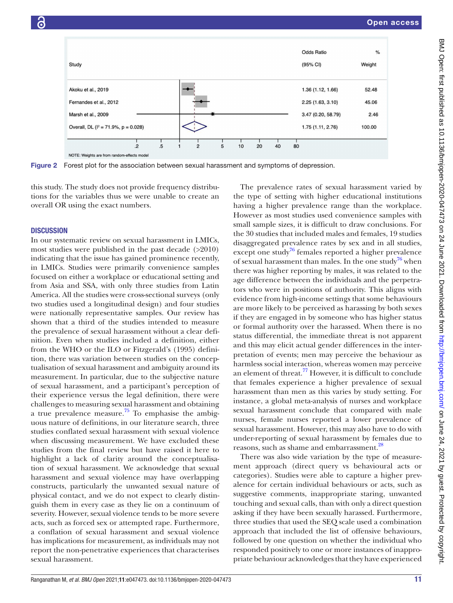

<span id="page-10-0"></span>Figure 2 Forest plot for the association between sexual harassment and symptoms of depression.

this study. The study does not provide frequency distributions for the variables thus we were unable to create an overall OR using the exact numbers.

#### **DISCUSSION**

In our systematic review on sexual harassment in LMICs, most studies were published in the past decade (>2010) indicating that the issue has gained prominence recently, in LMICs. Studies were primarily convenience samples focused on either a workplace or educational setting and from Asia and SSA, with only three studies from Latin America. All the studies were cross-sectional surveys (only two studies used a longitudinal design) and four studies were nationally representative samples. Our review has shown that a third of the studies intended to measure the prevalence of sexual harassment without a clear definition. Even when studies included a definition, either from the WHO or the ILO or Fitzgerald's (1995) definition, there was variation between studies on the conceptualisation of sexual harassment and ambiguity around its measurement. In particular, due to the subjective nature of sexual harassment, and a participant's perception of their experience versus the legal definition, there were challenges to measuring sexual harassment and obtaining a true prevalence measure.<sup>75</sup> To emphasise the ambiguous nature of definitions, in our literature search, three studies conflated sexual harassment with sexual violence when discussing measurement. We have excluded these studies from the final review but have raised it here to highlight a lack of clarity around the conceptualisation of sexual harassment. We acknowledge that sexual harassment and sexual violence may have overlapping constructs, particularly the unwanted sexual nature of physical contact, and we do not expect to clearly distinguish them in every case as they lie on a continuum of severity. However, sexual violence tends to be more severe acts, such as forced sex or attempted rape. Furthermore, a conflation of sexual harassment and sexual violence has implications for measurement, as individuals may not report the non-penetrative experiences that characterises sexual harassment.

The prevalence rates of sexual harassment varied by the type of setting with higher educational institutions having a higher prevalence range than the workplace. However as most studies used convenience samples with small sample sizes, it is difficult to draw conclusions. For the 30 studies that included males and females, 19 studies disaggregated prevalence rates by sex and in all studies, except one study<sup>76</sup> females reported a higher prevalence of sexual harassment than males. In the one study<sup>76</sup> when there was higher reporting by males, it was related to the age difference between the individuals and the perpetrators who were in positions of authority. This aligns with evidence from high-income settings that some behaviours are more likely to be perceived as harassing by both sexes if they are engaged in by someone who has higher status or formal authority over the harassed. When there is no status differential, the immediate threat is not apparent and this may elicit actual gender differences in the interpretation of events; men may perceive the behaviour as harmless social interaction, whereas women may perceive an element of threat.<sup>77</sup> However, it is difficult to conclude that females experience a higher prevalence of sexual harassment than men as this varies by study setting. For instance, a global meta-analysis of nurses and workplace sexual harassment conclude that compared with male nurses, female nurses reported a lower prevalence of sexual harassment. However, this may also have to do with under-reporting of sexual harassment by females due to reasons, such as shame and embarrassment.<sup>28</sup>

There was also wide variation by the type of measurement approach (direct query vs behavioural acts or categories). Studies were able to capture a higher prevalence for certain individual behaviours or acts, such as suggestive comments, inappropriate staring, unwanted touching and sexual calls, than with only a direct question asking if they have been sexually harassed. Furthermore, three studies that used the SEQ scale used a combination approach that included the list of offensive behaviours, followed by one question on whether the individual who responded positively to one or more instances of inappropriate behaviour acknowledges that they have experienced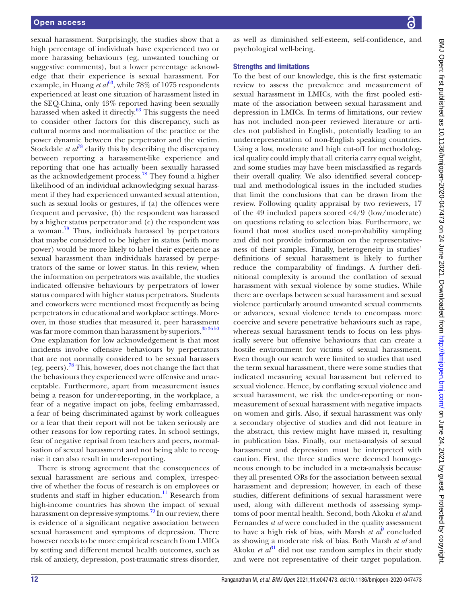sexual harassment. Surprisingly, the studies show that a high percentage of individuals have experienced two or more harassing behaviours (eg, unwanted touching or suggestive comments), but a lower percentage acknowledge that their experience is sexual harassment. For example, in Huang *et a* $\ell^{63}$ , while 78% of 1075 respondents experienced at least one situation of harassment listed in the SEQ-China, only 43% reported having been sexually harassed when asked it directly.<sup>63</sup> This suggests the need to consider other factors for this discrepancy, such as cultural norms and normalisation of the practice or the power dynamic between the perpetrator and the victim. Stockdale *et al*<sup>78</sup> clarify this by describing the discrepancy between reporting a harassment-like experience and reporting that one has actually been sexually harassed as the acknowledgement process.[78](#page-14-15) They found a higher likelihood of an individual acknowledging sexual harassment if they had experienced unwanted sexual attention, such as sexual looks or gestures, if (a) the offences were frequent and pervasive, (b) the respondent was harassed by a higher status perpetrator and  $(c)$  the respondent was a woman.<sup>[78](#page-14-15)</sup> Thus, individuals harassed by perpetrators that maybe considered to be higher in status (with more power) would be more likely to label their experience as sexual harassment than individuals harassed by perpetrators of the same or lower status. In this review, when the information on perpetrators was available, the studies indicated offensive behaviours by perpetrators of lower status compared with higher status perpetrators. Students and coworkers were mentioned most frequently as being perpetrators in educational and workplace settings. Moreover, in those studies that measured it, peer harassment was far more common than harassment by superiors.<sup>[35 36 50](#page-13-16)</sup> One explanation for low acknowledgement is that most incidents involve offensive behaviours by perpetrators that are not normally considered to be sexual harassers (eg, peers)[.78](#page-14-15) This, however, does not change the fact that the behaviours they experienced were offensive and unacceptable. Furthermore, apart from measurement issues being a reason for under-reporting, in the workplace, a fear of a negative impact on jobs, feeling embarrassed, a fear of being discriminated against by work colleagues or a fear that their report will not be taken seriously are other reasons for low reporting rates. In school settings, fear of negative reprisal from teachers and peers, normalisation of sexual harassment and not being able to recognise it can also result in under-reporting.

There is strong agreement that the consequences of sexual harassment are serious and complex, irrespective of whether the focus of research is on employees or students and staff in higher education.<sup>11</sup> Research from high-income countries has shown the impact of sexual harassment on depressive symptoms[.79](#page-14-16) In our review, there is evidence of a significant negative association between sexual harassment and symptoms of depression. There however needs to be more empirical research from LMICs by setting and different mental health outcomes, such as risk of anxiety, depression, post-traumatic stress disorder,

as well as diminished self-esteem, self-confidence, and psychological well-being.

#### Strengths and limitations

To the best of our knowledge, this is the first systematic review to assess the prevalence and measurement of sexual harassment in LMICs, with the first pooled estimate of the association between sexual harassment and depression in LMICs. In terms of limitations, our review has not included non-peer reviewed literature or articles not published in English, potentially leading to an underrepresentation of non-English speaking countries. Using a low, moderate and high cut-off for methodological quality could imply that all criteria carry equal weight, and some studies may have been misclassified as regards their overall quality. We also identified several conceptual and methodological issues in the included studies that limit the conclusions that can be drawn from the review. Following quality appraisal by two reviewers, 17 of the 49 included papers scored <4/9 (low/moderate) on questions relating to selection bias. Furthermore, we found that most studies used non-probability sampling and did not provide information on the representativeness of their samples. Finally, heterogeneity in studies' definitions of sexual harassment is likely to further reduce the comparability of findings. A further definitional complexity is around the conflation of sexual harassment with sexual violence by some studies. While there are overlaps between sexual harassment and sexual violence particularly around unwanted sexual comments or advances, sexual violence tends to encompass more coercive and severe penetrative behaviours such as rape, whereas sexual harassment tends to focus on less physically severe but offensive behaviours that can create a hostile environment for victims of sexual harassment. Even though our search were limited to studies that used the term sexual harassment, there were some studies that indicated measuring sexual harassment but referred to sexual violence. Hence, by conflating sexual violence and sexual harassment, we risk the under-reporting or nonmeasurement of sexual harassment with negative impacts on women and girls. Also, if sexual harassment was only a secondary objective of studies and did not feature in the abstract, this review might have missed it, resulting in publication bias. Finally, our meta-analysis of sexual harassment and depression must be interpreted with caution. First, the three studies were deemed homogeneous enough to be included in a meta-analysis because they all presented ORs for the association between sexual harassment and depression; however, in each of these studies, different definitions of sexual harassment were used, along with different methods of assessing symptoms of poor mental health. Second, both Akoku *et al* and Fernandes *et al* were concluded in the quality assessment to have a high risk of bias, with Marsh  $et\ a^{\hat{p}}$  concluded as showing a moderate risk of bias. Both Marsh *et al* and Akoku *et*  $a\ell^3$  did not use random samples in their study and were not representative of their target population.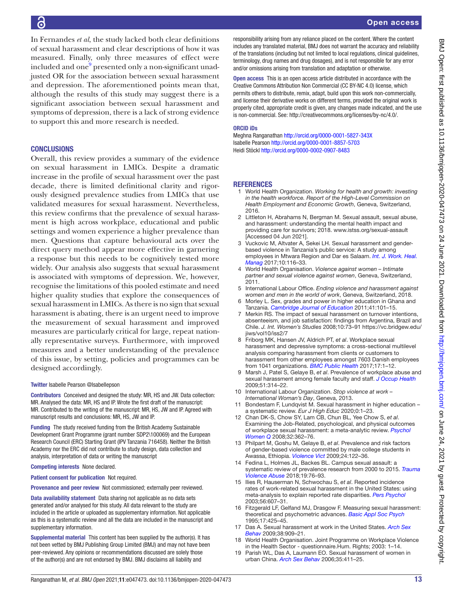In Fernandes *et al*, the study lacked both clear definitions of sexual harassment and clear descriptions of how it was measured. Finally, only three measures of effect were included and one $^9$  $^9$  presented only a non-significant unadjusted OR for the association between sexual harassment and depression. The aforementioned points mean that, although the results of this study may suggest there is a significant association between sexual harassment and symptoms of depression, there is a lack of strong evidence to support this and more research is needed.

#### **CONCLUSIONS**

Overall, this review provides a summary of the evidence on sexual harassment in LMICs. Despite a dramatic increase in the profile of sexual harassment over the past decade, there is limited definitional clarity and rigorously designed prevalence studies from LMICs that use validated measures for sexual harassment. Nevertheless, this review confirms that the prevalence of sexual harassment is high across workplace, educational and public settings and women experience a higher prevalence than men. Questions that capture behavioural acts over the direct query method appear more effective in garnering a response but this needs to be cognitively tested more widely. Our analysis also suggests that sexual harassment is associated with symptoms of depression. We, however, recognise the limitations of this pooled estimate and need higher quality studies that explore the consequences of sexual harassment in LMICs. As there is no sign that sexual harassment is abating, there is an urgent need to improve the measurement of sexual harassment and improved measures are particularly critical for large, repeat nationally representative surveys. Furthermore, with improved measures and a better understanding of the prevalence of this issue, by setting, policies and programmes can be designed accordingly.

#### Twitter Isabelle Pearson [@Isabellepson](https://twitter.com/Isabellepson)

Contributors Conceived and designed the study: MR, HS and JW. Data collection: MR. Analysed the data: MR, HS and IP. Wrote the first draft of the manuscript: MR. Contributed to the writing of the manuscript: MR, HS, JW and IP. Agreed with manuscript results and conclusions: MR, HS, JW and IP.

Funding The study received funding from the British Academy Sustainable Development Grant Programme (grant number SDP2\100069) and the European Research Council (ERC) Starting Grant (IPV Tanzania 716458). Neither the British Academy nor the ERC did not contribute to study design, data collection and analysis, interpretation of data or writing the manuscript

#### Competing interests None declared.

Patient consent for publication Not required.

Provenance and peer review Not commissioned; externally peer reviewed.

Data availability statement Data sharing not applicable as no data sets generated and/or analysed for this study. All data relevant to the study are included in the article or uploaded as supplementary information. Not applicable as this is a systematic review and all the data are included in the manuscript and supplementary information.

Supplemental material This content has been supplied by the author(s). It has not been vetted by BMJ Publishing Group Limited (BMJ) and may not have been peer-reviewed. Any opinions or recommendations discussed are solely those of the author(s) and are not endorsed by BMJ. BMJ disclaims all liability and

responsibility arising from any reliance placed on the content. Where the content includes any translated material, BMJ does not warrant the accuracy and reliability of the translations (including but not limited to local regulations, clinical guidelines, terminology, drug names and drug dosages), and is not responsible for any error and/or omissions arising from translation and adaptation or otherwise.

Open access This is an open access article distributed in accordance with the Creative Commons Attribution Non Commercial (CC BY-NC 4.0) license, which permits others to distribute, remix, adapt, build upon this work non-commercially, and license their derivative works on different terms, provided the original work is properly cited, appropriate credit is given, any changes made indicated, and the use is non-commercial. See: [http://creativecommons.org/licenses/by-nc/4.0/.](http://creativecommons.org/licenses/by-nc/4.0/)

#### ORCID iDs

Meghna Ranganathan <http://orcid.org/0000-0001-5827-343X> Isabelle Pearson <http://orcid.org/0000-0001-8857-5703> Heidi Stöckl <http://orcid.org/0000-0002-0907-8483>

#### **REFERENCES**

- <span id="page-12-0"></span>1 World Health Organization. *Working for health and growth: investing in the health workforce. Report of the High-Level Commission on Health Employment and Economic Growth*, Geneva, Switzerland, 2016.
- <span id="page-12-1"></span>2 Littleton H, Abrahams N, Bergman M. Sexual assault, sexual abuse, and harassment: understanding the mental health impact and providing care for survivors; 2018. <www.istss.org/sexual-assault> [Accessed 04 Jun 2021].
- <span id="page-12-2"></span>3 Vuckovic M, Altvater A, Sekei LH. Sexual harassment and genderbased violence in Tanzania's public service: A study among employees in Mtwara Region and Dar es Salaam. *[Int. J. Work. Heal.](http://dx.doi.org/10.1108/IJWHM-02-2015-0011)  [Manag](http://dx.doi.org/10.1108/IJWHM-02-2015-0011)* 2017;10:116–33.
- <span id="page-12-3"></span>4 World Health Organisation. *Violence against women – Intimate partner and sexual violence against women*, Geneva, Switzerland, 2011.
- <span id="page-12-4"></span>5 International Labour Office. *Ending violence and harassment against women and men in the world of work*, Geneva, Switzerland, 2018.
- <span id="page-12-5"></span>Morley L. Sex, grades and power in higher education in Ghana and Tanzania. *[Cambridge Journal of Education](http://dx.doi.org/10.1080/0305764X.2010.549453)* 2011;41:101–15.
- <span id="page-12-6"></span>7 Merkin RS. The impact of sexual harassment on turnover intentions, absenteeism, and job satisfaction: findings from Argentina, Brazil and Chile. *J. Int. Women's Studies* 2008;10:73–91 [https://vc.bridgew.edu/](https://vc.bridgew.edu/jiws/vol10/iss2/7) iiws/vol10/iss2/7
- <span id="page-12-7"></span>8 Friborg MK, Hansen JV, Aldrich PT, *et al*. Workplace sexual harassment and depressive symptoms: a cross-sectional multilevel analysis comparing harassment from clients or customers to harassment from other employees amongst 7603 Danish employees from 1041 organizations. *[BMC Public Health](http://dx.doi.org/10.1186/s12889-017-4669-x)* 2017;17:1–12.
- <span id="page-12-8"></span>9 Marsh J, Patel S, Gelaye B, *et al*. Prevalence of workplace abuse and sexual harassment among female faculty and staff. *[J Occup Health](http://dx.doi.org/10.1539/joh.L8143)* 2009;51:314–22.
- <span id="page-12-9"></span>10 International Labour Organization. *Stop violence at work – International Woman's Day*, Geneva, 2013.
- <span id="page-12-10"></span>11 Bondestam F, Lundqvist M. Sexual harassment in higher education – a systematic review. *Eur J High Educ* 2020;0:1–23.
- <span id="page-12-11"></span>12 Chan DK-S, Chow SY, Lam CB, Chun BL, Yee Chow S, *et al*. Examining the Job-Related, psychological, and physical outcomes of workplace sexual harassment: a meta-analytic review. *[Psychol](http://dx.doi.org/10.1111/j.1471-6402.2008.00451.x)  [Women Q](http://dx.doi.org/10.1111/j.1471-6402.2008.00451.x)* 2008;32:362–76.
- <span id="page-12-12"></span>13 Philpart M, Goshu M, Gelaye B, *et al*. Prevalence and risk factors of gender-based violence committed by male college students in Awassa, Ethiopia. *[Violence Vict](http://dx.doi.org/10.1891/0886-6708.24.1.122)* 2009;24:122–36.
- <span id="page-12-13"></span>14 Fedina L, Holmes JL, Backes BL. Campus sexual assault: a systematic review of prevalence research from 2000 to 2015. *[Trauma](http://dx.doi.org/10.1177/1524838016631129)  [Violence Abuse](http://dx.doi.org/10.1177/1524838016631129)* 2018;19:76–93.
- <span id="page-12-14"></span>15 Ilies R, Hauserman N, Schwochau S, *et al*. Reported incidence rates of work-related sexual harassment in the United States: using meta-analysis to explain reported rate disparities. *[Pers Psychol](http://dx.doi.org/10.1111/j.1744-6570.2003.tb00752.x)* 2003;56:607–31.
- <span id="page-12-15"></span>16 Fitzgerald LF, Gelfand MJ, Drasgow F. Measuring sexual harassment: theoretical and psychometric advances. *[Basic Appl Soc Psych](http://dx.doi.org/10.1207/s15324834basp1704_2)* 1995;17:425–45.
- 17 Das A. Sexual harassment at work in the United States. *[Arch Sex](http://dx.doi.org/10.1007/s10508-008-9354-9)  [Behav](http://dx.doi.org/10.1007/s10508-008-9354-9)* 2009;38:909–21.
- <span id="page-12-16"></span>18 World Health Organisation. Joint Programme on Workplace Violence in the Health Sector - questionnaire.Hum. Rights; 2003: 1–14.
- <span id="page-12-17"></span>19 Parish WL, Das A, Laumann EO. Sexual harassment of women in urban China. *[Arch Sex Behav](http://dx.doi.org/10.1007/s10508-006-9079-6)* 2006;35:411–25.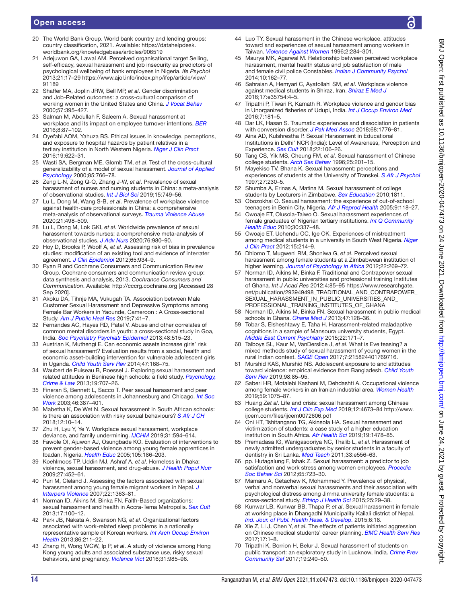- <span id="page-13-0"></span>20 The World Bank Group. World bank country and lending groups: country classification, 2021. Available: [https://datahelpdesk.](https://datahelpdesk.worldbank.org/knowledgebase/articles/906519) [worldbank.org/knowledgebase/articles/906519](https://datahelpdesk.worldbank.org/knowledgebase/articles/906519)
- <span id="page-13-1"></span>21 Adejuwon GA, Lawal AM. Perceived organisational target Selling, self-efficacy, sexual harassment and job insecurity as predictors of psychological wellbeing of bank employees in Nigeria. *Ife Psychol* 2013;21:17–29 [https://www.ajol.info/index.php/ifep/article/view/](https://www.ajol.info/index.php/ifep/article/view/91189) [91189](https://www.ajol.info/index.php/ifep/article/view/91189)
- 22 Shaffer MA, Joplin JRW, Bell MP, *et al*. Gender discrimination and Job-Related outcomes: a cross-cultural comparison of working women in the United States and China. *[J Vocat Behav](http://dx.doi.org/10.1006/jvbe.1999.1748)* 2000;57:395–427.
- 23 Salman M, Abdullah F, Saleem A. Sexual harassment at workplace and its impact on employee turnover intentions. *[BER](http://dx.doi.org/10.22547/BER/8.1.6)* 2016;8:87–102.
- 24 Oyefabi AOM, Yahuza BS. Ethical issues in knowledge, perceptions, and exposure to hospital hazards by patient relatives in a tertiary institution in North Western Nigeria. *[Niger J Clin Pract](http://dx.doi.org/10.4103/1119-3077.188705)* 2016;19:622–31.
- 25 Wasti SA, Bergman ME, Glomb TM, *et al*. Test of the cross-cultural generalizability of a model of sexual harassment. *[Journal of Applied](http://dx.doi.org/10.1037/0021-9010.85.5.766)  [Psychology](http://dx.doi.org/10.1037/0021-9010.85.5.766)* 2000;85:766–78.
- <span id="page-13-2"></span>26 Zeng L-N, Zong Q-Q, Zhang J-W, *et al*. Prevalence of sexual harassment of nurses and nursing students in China: a meta-analysis of observational studies. *[Int J Biol Sci](http://dx.doi.org/10.7150/ijbs.28144)* 2019;15:749–56.
- 27 Lu L, Dong M, Wang S-B, *et al*. Prevalence of workplace violence against health-care professionals in China: a comprehensive meta-analysis of observational surveys. *[Trauma Violence Abuse](http://dx.doi.org/10.1177/1524838018774429)* 2020;21:498–509.
- <span id="page-13-3"></span>28 Lu L, Dong M, Lok GKI, *et al*. Worldwide prevalence of sexual harassment towards nurses: a comprehensive meta-analysis of observational studies. *[J Adv Nurs](http://dx.doi.org/10.1111/jan.14296)* 2020;76:980–90.
- <span id="page-13-4"></span>29 Hoy D, Brooks P, Woolf A, *et al*. Assessing risk of bias in prevalence studies: modification of an existing tool and evidence of interrater agreement. *[J Clin Epidemiol](http://dx.doi.org/10.1016/j.jclinepi.2011.11.014)* 2012;65:934–9.
- <span id="page-13-5"></span>30 Ryan R and Cochrane Consumers and Communication Review Group. Cochrane consumers and communication review group: data synthesis and analysis, 2013. *Cochrance Consumers and Communication*. Available: <http://cccrg.cochrane.org> [Accessed 28 Sep 2020].
- <span id="page-13-8"></span>31 Akoku DA, Tihnje MA, Vukugah TA. Association between Male Customer Sexual Harassment and Depressive Symptoms among Female Bar Workers in Yaounde, Cameroon : A Cross-sectional Study. *[Am J Public Heal Res](http://dx.doi.org/10.12691/ajphr-7-2-2)* 2019;7:41–7.
- <span id="page-13-25"></span>32 Fernandes AC, Hayes RD, Patel V. Abuse and other correlates of common mental disorders in youth: a cross-sectional study in Goa, India. *[Soc Psychiatry Psychiatr Epidemiol](http://dx.doi.org/10.1007/s00127-012-0614-6)* 2013;48:515–23.
- <span id="page-13-6"></span>33 Austrian K, Muthengi E. Can economic assets increase girls' risk of sexual harassment? Evaluation results from a social, health and economic asset-building intervention for vulnerable adolescent girls in Uganda. *[Child Youth Serv Rev](http://dx.doi.org/10.1016/j.childyouth.2014.08.012)* 2014;47:168–75.
- <span id="page-13-26"></span>34 Waubert de Puiseau B, Roessel J. Exploring sexual harassment and related attitudes in Beninese high schools: a field study. *[Psychology,](http://dx.doi.org/10.1080/1068316X.2013.793336)  [Crime & Law](http://dx.doi.org/10.1080/1068316X.2013.793336)* 2013;19:707–26.
- <span id="page-13-16"></span>35 Fineran S, Bennett L, Sacco T. Peer sexual harassment and peer violence among adolescents in Johannesburg and Chicago. *[Int Soc](http://dx.doi.org/10.1177/00208728030463009)  [Work](http://dx.doi.org/10.1177/00208728030463009)* 2003;46:387–401.
- <span id="page-13-41"></span>36 Mabetha K, De Wet N. Sexual harassment in South African schools: is there an association with risky sexual behaviours? *[S Afr J CH](http://dx.doi.org/10.7196/SAJCH.2018.v12i2b.1526)* 2018;12:10–14.
- <span id="page-13-7"></span>37 Zhu H, Lyu Y, Ye Y. Workplace sexual harassment, workplace deviance, and family undermining. *[IJCHM](http://dx.doi.org/10.1108/IJCHM-11-2017-0776)* 2019;31:594–614.
- <span id="page-13-17"></span>38 Fawole OI, Ajuwon AJ, Osungbade KO. Evaluation of interventions to prevent gender‐based violence among young female apprentices in Ibadan, Nigeria. *[Health Educ](http://dx.doi.org/10.1108/09654280510595254)* 2005;105:186–203.
- <span id="page-13-9"></span>39 Koehlmoos TP, Uddin MJ, Ashraf A, *et al*. Homeless in Dhaka: violence, sexual harassment, and drug-abuse. *[J Health Popul Nutr](http://dx.doi.org/10.3329/jhpn.v27i4.3389)* 2009;27:452–61.
- <span id="page-13-10"></span>40 Puri M, Cleland J. Assessing the factors associated with sexual harassment among young female migrant workers in Nepal. *[J](http://dx.doi.org/10.1177/0886260507305524)  [Interpers Violence](http://dx.doi.org/10.1177/0886260507305524)* 2007;22:1363–81.
- <span id="page-13-11"></span>41 Norman ID, Aikins M, Binka FN. Faith-Based organizations: sexual harassment and health in Accra-Tema Metropolis. *[Sex Cult](http://dx.doi.org/10.1007/s12119-012-9141-6)* 2013;17:100–12.
- <span id="page-13-28"></span>42 Park JB, Nakata A, Swanson NG, *et al*. Organizational factors associated with work-related sleep problems in a nationally representative sample of Korean workers. *[Int Arch Occup Environ](http://dx.doi.org/10.1007/s00420-012-0759-3)  [Health](http://dx.doi.org/10.1007/s00420-012-0759-3)* 2013;86:211–22.
- <span id="page-13-35"></span>43 Zhang H, Wong WCW, Ip P, *et al*. A study of violence among Hong Kong young adults and associated substance use, risky sexual behaviors, and pregnancy. *[Violence Vict](http://dx.doi.org/10.1891/0886-6708.VV-D-13-00181)* 2016;31:985–96.
- <span id="page-13-12"></span>44 Luo TY. Sexual harassment in the Chinese workplace. attitudes toward and experiences of sexual harassment among workers in Taiwan. *[Violence Against Women](http://dx.doi.org/10.1177/1077801296002003004)* 1996;2:284–301.
- <span id="page-13-29"></span>45 Maurya MK, Agarwal M. Relationship between perceived workplace harassment, mental health status and job satisfaction of male and female civil police Constables. *[Indian J Community Psychol](http://dx.doi.org/10.1177/2156869311416827)* 2014;10:162–77.
- <span id="page-13-33"></span>46 Sahraian A, Hemyari C, Ayatollahi SM, *et al*. Workplace violence against medical students in Shiraz, Iran. *[Shiraz E Med J](http://dx.doi.org/10.17795/semj35754)* 2016;17:e35754:4–5.
- <span id="page-13-34"></span>47 Tripathi P, Tiwari R, Kamath R. Workplace violence and gender bias in Unorganized fisheries of Udupi, India. *[Int J Occup Environ Med](http://dx.doi.org/10.15171/ijoem.2016.788)* 2016;7:181–5.
- <span id="page-13-39"></span>48 Dar LK, Hasan S. Traumatic experiences and dissociation in patients with conversion disorder. *[J Pak Med Assoc](http://www.ncbi.nlm.nih.gov/pubmed/30504942)* 2018;68:1776–81.
- <span id="page-13-40"></span>49 Aina AD, Kulshrestha P. Sexual Harassment in Educational Institutions in Delhi' NCR (India): Level of Awareness, Perception and Experience. *[Sex Cult](http://dx.doi.org/10.1007/s12119-017-9455-5)* 2018;22:106–26.
- <span id="page-13-13"></span>50 Tang CS, Yik MS, Cheung FM, *et al*. Sexual harassment of Chinese college students. *[Arch Sex Behav](http://dx.doi.org/10.1007/BF02437936)* 1996;25:201–15.
- <span id="page-13-14"></span>Mayekiso TV, Bhana K. Sexual harassment: perceptions and experiences of students at the University of Transkei. *[S Afr J Psychol](http://dx.doi.org/10.1177/008124639702700405)* 1997;27:230–5.
- <span id="page-13-15"></span>52 Shumba A, Erinas A, Matina M. Sexual harassment of college students by Lecturers in Zimbabwe. *[Sex Education](http://dx.doi.org/10.1080/14681810220133613)* 2010;1811.
- <span id="page-13-18"></span>53 Obozokhai O. Sexual harassment: the experience of out-of-school teenagers in Benin City, Nigeria. *[Afr J Reprod Health](http://dx.doi.org/10.2307/3583418)* 2005;9:118–27.
- <span id="page-13-19"></span>54 Owoaje ET, Olusola-Taiwo O. Sexual harassment experiences of female graduates of Nigerian tertiary institutions. *[Int Q Community](http://dx.doi.org/10.2190/IQ.30.4.e)  [Health Educ](http://dx.doi.org/10.2190/IQ.30.4.e)* 2010;30:337–48.
- <span id="page-13-21"></span>55 Owoaje ET, Uchendu OC, Ige OK. Experiences of mistreatment among medical students in a university in South West Nigeria. *[Niger](http://dx.doi.org/10.4103/1119-3077.97321)  [J Clin Pract](http://dx.doi.org/10.4103/1119-3077.97321)* 2012;15:214–9.
- <span id="page-13-22"></span>56 Dhlomo T, Mugweni RM, Shoniwa G, *et al*. Perceived sexual harassment among female students at a Zimbabwean institution of higher learning. *[Journal of Psychology in Africa](http://dx.doi.org/10.1080/14330237.2012.10820529)* 2012;22:269–72.
- <span id="page-13-24"></span>Norman ID, Aikins M, Binka F. Traditional and Contrapower sexual harassment in public universities and professional training Institutes of Ghana. *Int J Acad Res* 2012;4:85–95 [https://www.researchgate.](https://www.researchgate.net/publication/293949498_TRADITIONAL_AND_CONTRAPOWER_SEXUAL_HARASSMENT_IN_PUBLIC_UNIVERSITIES_AND_PROFESSIONAL_TRAINING_INSTITUTES_OF_GHANA) [net/publication/293949498\\_TRADITIONAL\\_AND\\_CONTRAPOWER\\_](https://www.researchgate.net/publication/293949498_TRADITIONAL_AND_CONTRAPOWER_SEXUAL_HARASSMENT_IN_PUBLIC_UNIVERSITIES_AND_PROFESSIONAL_TRAINING_INSTITUTES_OF_GHANA) [SEXUAL\\_HARASSMENT\\_IN\\_PUBLIC\\_UNIVERSITIES\\_AND\\_](https://www.researchgate.net/publication/293949498_TRADITIONAL_AND_CONTRAPOWER_SEXUAL_HARASSMENT_IN_PUBLIC_UNIVERSITIES_AND_PROFESSIONAL_TRAINING_INSTITUTES_OF_GHANA) [PROFESSIONAL\\_TRAINING\\_INSTITUTES\\_OF\\_GHANA](https://www.researchgate.net/publication/293949498_TRADITIONAL_AND_CONTRAPOWER_SEXUAL_HARASSMENT_IN_PUBLIC_UNIVERSITIES_AND_PROFESSIONAL_TRAINING_INSTITUTES_OF_GHANA)
- <span id="page-13-27"></span>58 Norman ID, Aikins M, Binka FN. Sexual harassment in public medical schools in Ghana. *[Ghana Med J](http://www.ncbi.nlm.nih.gov/pubmed/24391228)* 2013;47:128–36.
- <span id="page-13-31"></span>59 Tobar S, Elsheshtawy E, Taha H. Harassment-related maladaptive cognitions in a sample of Mansoura university students, Egypt. *[Middle East Current Psychiatry](http://dx.doi.org/10.1097/01.XME.0000466277.08712.a6)* 2015;22:171–7.
- <span id="page-13-36"></span>60 Talboys SL, Kaur M, VanDerslice J, *et al*. What is Eve teasing? a mixed methods study of sexual harassment of young women in the rural Indian context. *[SAGE Open](http://dx.doi.org/10.1177/2158244017697168)* 2017;7:215824401769716.
- <span id="page-13-42"></span>61 Murshid KAS, Murshid NS. Adolescent exposure to and attitudes toward violence: empirical evidence from Bangladesh. *[Child Youth](http://dx.doi.org/10.1016/j.childyouth.2018.12.025)  [Serv Rev](http://dx.doi.org/10.1016/j.childyouth.2018.12.025)* 2019;98:85–95.
- <span id="page-13-43"></span>62 Saberi HR, Motalebi Kashani M, Dehdashti A. Occupational violence among female workers in an Iranian industrial area. *[Women Health](http://dx.doi.org/10.1080/03630242.2019.1593285)* 2019;59:1075–87.
- <span id="page-13-44"></span>63 Huang Z*et al*. Life and crisis: sexual harassment among Chinese college students. *[Int J Clin Exp Med](http://dx.doi.org/1940-5901/IJCEM0072606)* 2019;12:4673–84 [http://www.](http://www.ijcem.com/files/ijcem0072606.pdf) [ijcem.com/files/ijcem0072606.pdf](http://www.ijcem.com/files/ijcem0072606.pdf)
- <span id="page-13-45"></span>64 Oni HT, Tshitangano TG, Akinsola HA. Sexual harassment and victimization of students: a case study of a higher education institution in South Africa. *[Afr Health Sci](http://dx.doi.org/10.4314/ahs.v19i1.21)* 2019;19:1478–85.
- <span id="page-13-20"></span>65 Premadasa IG, Wanigasooriya NC, Thalib L, *et al*. Harassment of newly admitted undergraduates by senior students in a faculty of dentistry in Sri Lanka. *[Med Teach](http://dx.doi.org/10.3109/0142159X.2011.600358)* 2011;33:e556–63.
- <span id="page-13-23"></span>66 pp. Hutagalung F, Ishak Z. Sexual harassment: a predictor to job satisfaction and work stress among women employees. *[Procedia](http://dx.doi.org/10.1016/j.sbspro.2012.11.190)  [Soc Behav Sci](http://dx.doi.org/10.1016/j.sbspro.2012.11.190)* 2012;65:723–30.
- <span id="page-13-30"></span>67 Mamaru A, Getachew K, Mohammed Y. Prevalence of physical, verbal and nonverbal sexual harassments and their association with psychological distress among Jimma university female students: a cross-sectional study. *[Ethiop J Health Sci](http://dx.doi.org/10.4314/ejhs.v25i1.5)* 2015;25:29–38.
- <span id="page-13-32"></span>68 Kunwar LB, Kunwar BB, Thapa P, *et al*. Sexual harassment in female at working place in Dhangadhi Municipality Kailali district of Nepal. *[Ind. Jour. of Publ. Health Rese. & Develop.](http://dx.doi.org/10.5958/0976-5506.2015.00190.4)* 2015;6:18.
- <span id="page-13-37"></span>69 Xie Z, Li J, Chen Y, *et al*. The effects of patients initiated aggression on Chinese medical students' career planning. *[BMC Health Serv Res](http://dx.doi.org/10.1186/s12913-017-2810-2)* 2017;17:1–8.
- <span id="page-13-38"></span>70 Tripathi K, Borrion H, Belur J. Sexual harassment of students on public transport: an exploratory study in Lucknow, India. *[Crime Prev](http://dx.doi.org/10.1057/s41300-017-0029-0)  [Community Saf](http://dx.doi.org/10.1057/s41300-017-0029-0)* 2017;19:240–50.